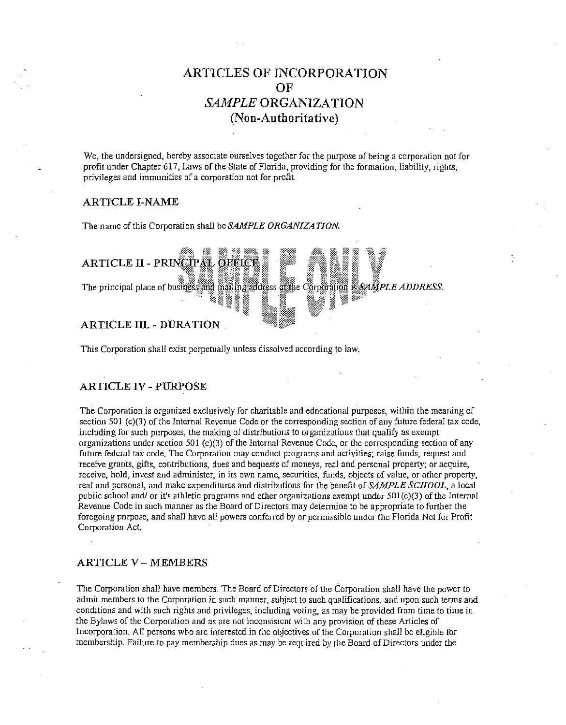# **ARTICLES OF INCORPORATION OF**  *SAMPLE* **ORGANIZATION (Non-Authoritative)**

We, the undersigned, hereby associate ourselves together for the purpose of being a corporation not for profit under Chapter 617, Laws of the State of Florida, providing for the formation, liability, rights, **privileges and immunities of a corporation not for profit.** 

#### **ARTICLE I-NAME**

The name of this Corporation shall be *SAMPLE ORGANIZATION*.



This Corporation shall exist perpetually unless dissolved according to law.

# **ARTICLE** IV - **PURPOSE**

The Corporation is organized exclusively for charitable and edncational purposes, within the meaning of section 501 (c)(3) of the Internal Revenue Code or the corresponding section of any future federal tax code, including for such purposes, the making of distributions to organizations that qualify as exempt organizations under section 50 l (c)(3) of the Internal Revenue Code, or the corresponding section of any future federal tax code. The Corporation may conduct programs and activities; raise funds, request and **receive grants, gifts, contributions, dues and bequests of moneys, real and personal property; or acquire,**  receive, hold, invest and administer, in its own name, securities, funds, objects of value, or other property, real and personal, and make expenditures and distributions for the benefit of *SAMPLE SCHOOL,* a local public school and/ or it's athletic programs and other organizations exempt under 50l(c)(3) of the Internal Revenue Code in such manner as the Board of Directors may deiennine to be appropriate to further the foregoing pnrpose, and shall have all powers conferred by or permissible under the Florida Not for Profit Corporation Act.

# **ARTICLE V - MEMBERS**

The Corporation shall have members. The Board of Directors of the Corporation shall have the power to **admit members to the Corporation in such manner, subject to such qualifications, and upon such terms and**  conditions and with such rights and privileges, including voting, as may be provided from time to time in the Bylaws of the Corporation and as are not inconsistent with any provision of these Articles of Incorporation. All persons who are interested in the objectives of the Corporation shall be eligible for membership. Failure to pay membership dues as may be required by (he Board of Directors under the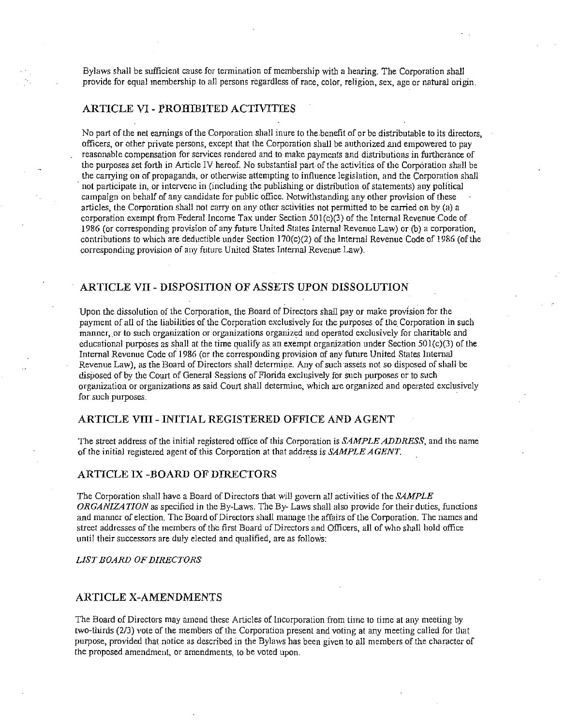Bylaws shall be sufficient cause for termination of membership with a hearing. The Corporation shall provide for equal membership to all persons regardless of race, color, religion, sex, age or natural origin.

# **ARTICLE VI - I'ROHIBITED ACTIVITIES**

No part of the net earnings of the Corporation shall inure to the.benefit of or be distributable to its directors, officers, or other private persons, except that the Corporation shall be authorized and empowered to pay reasonable compensation for services rendered and to make payments and distributions in furtherance of the purposes set forth in Article IV hereof. No substantial part of the activities of the Corporation shall be the carrying on of propaganda, or otherwise attempting to influence legislation, and the Corporation shall · not participate in, or intervene in (including the publishing or distribution of statements) any polftical campaign on behalf of any candidate for public office. Notwithstanding any other provision of these articles, the Corporation shall not carry on any other activities not permitted to be carried on by (a) a corporation exempt from Federal Income Tax under Section 50I(c)(3) of the Internal Revenue Code of 1986 (or corresponding provision of any future United States Internal Revenue Law) or (b) a corporation, contributions to which are deductible under Section I 70(c)(2) of the Internal Revenue Code of 1986 (of the corresponding provision of any future United States Internal Revenue Law).

# **ARTICLE VII - DISPOSITION OF ASSETS UPON DISSOLUTION**

Upon the dissolution of the Corporation, the Board of Directors shall pay or make provision for the payment of all of the liabilities of the Corporation exclusively for the purposes of the. Corporation in such manner, or to such organization or organizations organized and operated exclusively for charitable and educational purposes as shall at the time qualify as an exempt organization under Section  $501(c)(3)$  of the Internal Revenue Code of 1986 (or the corresponding provision of any future United States Internal Revenue Law), as the Board of Directors shall determine. Any of such assets not so disposed of shall be disposed of by the Court of General Sessions of Florida exclusively for such purposes or to such **organization or organizations as said Court shall determine, which are organized and operated exclusively**  for such purposes.

#### **ARTICLE VIII - INITIAL REGISTERED OFFICE AND AGENT**

The street address of the initial registered office of this Corporation is *SAMPLE ADDRESS*, and the name of the initial registered agent of this Corporation at that address is *SAMPLE A GENT.* 

# **ARTICLE IX -BOARD OF DIRECTORS**

The Corporation shall have a Board of Directors that will govern all activities of the *SAMPLE ORGANIZATION* as specified in the By-Laws. The By- Laws shall also provide for their duties, functions and manner of election. The Board of Directors shall manage the affairs of the Corporation. The names and street addresses of the members of the first Board of Directors and Officers, all of who shall hold office until their successors are duly elected and qualified, are as follows:

*LIST BOARD OF DIRECTORS* 

#### **ARTICLE X-AMENDMENTS**

The Board of Directors may amend these Articles of Incorporation from time to time at any meeting by two-thirds (2/3) vote of the members of the Corporation present and voting at any meeting called for that purpose, provided that notice as described in the Bylaws has been given to all members of the character of **the proposed amendment, or amendments, to be voted upon.**